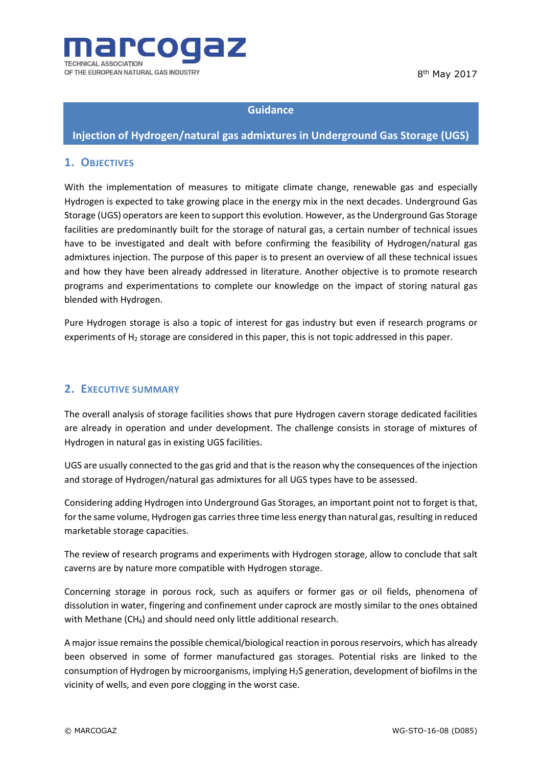



#### **Guidance**

## **Injection of Hydrogen/natural gas admixtures in Underground Gas Storage (UGS)**

#### **1. OBJECTIVES**

With the implementation of measures to mitigate climate change, renewable gas and especially Hydrogen is expected to take growing place in the energy mix in the next decades. Underground Gas Storage (UGS) operators are keen to support this evolution. However, as the Underground Gas Storage facilities are predominantly built for the storage of natural gas, a certain number of technical issues have to be investigated and dealt with before confirming the feasibility of Hydrogen/natural gas admixtures injection. The purpose of this paper is to present an overview of all these technical issues and how they have been already addressed in literature. Another objective is to promote research programs and experimentations to complete our knowledge on the impact of storing natural gas blended with Hydrogen.

Pure Hydrogen storage is also a topic of interest for gas industry but even if research programs or experiments of  $H_2$  storage are considered in this paper, this is not topic addressed in this paper.

#### **2. EXECUTIVE SUMMARY**

The overall analysis of storage facilities shows that pure Hydrogen cavern storage dedicated facilities are already in operation and under development. The challenge consists in storage of mixtures of Hydrogen in natural gas in existing UGS facilities.

UGS are usually connected to the gas grid and that is the reason why the consequences of the injection and storage of Hydrogen/natural gas admixtures for all UGS types have to be assessed.

Considering adding Hydrogen into Underground Gas Storages, an important point not to forget is that, for the same volume, Hydrogen gas carries three time less energy than natural gas, resulting in reduced marketable storage capacities.

The review of research programs and experiments with Hydrogen storage, allow to conclude that salt caverns are by nature more compatible with Hydrogen storage.

Concerning storage in porous rock, such as aquifers or former gas or oil fields, phenomena of dissolution in water, fingering and confinement under caprock are mostly similar to the ones obtained with Methane (CH<sub>4</sub>) and should need only little additional research.

A major issue remains the possible chemical/biological reaction in porous reservoirs, which has already been observed in some of former manufactured gas storages. Potential risks are linked to the consumption of Hydrogen by microorganisms, implying H2S generation, development of biofilms in the vicinity of wells, and even pore clogging in the worst case.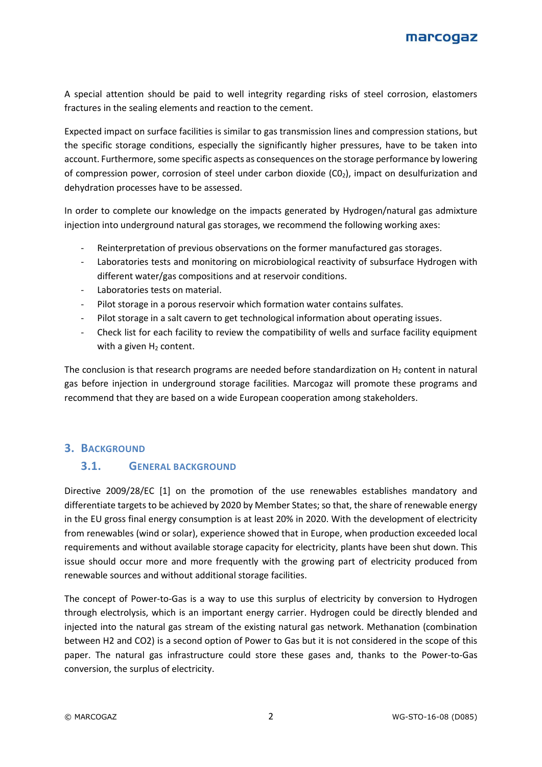

A special attention should be paid to well integrity regarding risks of steel corrosion, elastomers fractures in the sealing elements and reaction to the cement.

Expected impact on surface facilities is similar to gas transmission lines and compression stations, but the specific storage conditions, especially the significantly higher pressures, have to be taken into account. Furthermore, some specific aspects as consequences on the storage performance by lowering of compression power, corrosion of steel under carbon dioxide  $(CO<sub>2</sub>)$ , impact on desulfurization and dehydration processes have to be assessed.

In order to complete our knowledge on the impacts generated by Hydrogen/natural gas admixture injection into underground natural gas storages, we recommend the following working axes:

- Reinterpretation of previous observations on the former manufactured gas storages.
- Laboratories tests and monitoring on microbiological reactivity of subsurface Hydrogen with different water/gas compositions and at reservoir conditions.
- Laboratories tests on material.
- Pilot storage in a porous reservoir which formation water contains sulfates.
- Pilot storage in a salt cavern to get technological information about operating issues.
- Check list for each facility to review the compatibility of wells and surface facility equipment with a given  $H_2$  content.

The conclusion is that research programs are needed before standardization on  $H_2$  content in natural gas before injection in underground storage facilities. Marcogaz will promote these programs and recommend that they are based on a wide European cooperation among stakeholders.

#### **3. BACKGROUND**

#### **3.1. GENERAL BACKGROUND**

Directive 2009/28/EC [\[1\]](#page-11-0) on the promotion of the use renewables establishes mandatory and differentiate targets to be achieved by 2020 by Member States; so that, the share of renewable energy in the EU gross final energy consumption is at least 20% in 2020. With the development of electricity from renewables (wind or solar), experience showed that in Europe, when production exceeded local requirements and without available storage capacity for electricity, plants have been shut down. This issue should occur more and more frequently with the growing part of electricity produced from renewable sources and without additional storage facilities.

The concept of Power-to-Gas is a way to use this surplus of electricity by conversion to Hydrogen through electrolysis, which is an important energy carrier. Hydrogen could be directly blended and injected into the natural gas stream of the existing natural gas network. Methanation (combination between H2 and CO2) is a second option of Power to Gas but it is not considered in the scope of this paper. The natural gas infrastructure could store these gases and, thanks to the Power-to-Gas conversion, the surplus of electricity.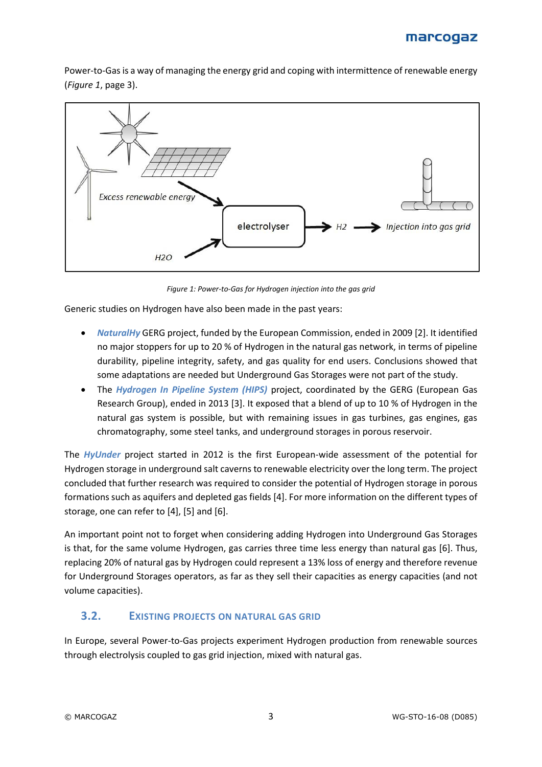Power-to-Gas is a way of managing the energy grid and coping with intermittence of renewable energy (*[Figure 1](#page-2-0)*, pag[e 3\)](#page-2-0).



*Figure 1: Power-to-Gas for Hydrogen injection into the gas grid*

<span id="page-2-0"></span>Generic studies on Hydrogen have also been made in the past years:

- *NaturalHy* GERG project, funded by the European Commission, ended in 2009 [\[2\].](#page-11-1) It identified no major stoppers for up to 20 % of Hydrogen in the natural gas network, in terms of pipeline durability, pipeline integrity, safety, and gas quality for end users. Conclusions showed that some adaptations are needed but Underground Gas Storages were not part of the study.
- The *Hydrogen In Pipeline System (HIPS)* project, coordinated by the GERG (European Gas Research Group), ended in 2013 [\[3\].](#page-11-2) It exposed that a blend of up to 10 % of Hydrogen in the natural gas system is possible, but with remaining issues in gas turbines, gas engines, gas chromatography, some steel tanks, and underground storages in porous reservoir.

The *HyUnder* project started in 2012 is the first European-wide assessment of the potential for Hydrogen storage in underground salt caverns to renewable electricity over the long term. The project concluded that further research was required to consider the potential of Hydrogen storage in porous formations such as aquifers and depleted gas field[s \[4\].](#page-11-3) For more information on the different types of storage, one can refer to [\[4\],](#page-11-3) [\[5\]](#page-11-4) and [\[6\].](#page-11-5)

An important point not to forget when considering adding Hydrogen into Underground Gas Storages is that, for the same volume Hydrogen, gas carries three time less energy than natural gas [\[6\].](#page-11-5) Thus, replacing 20% of natural gas by Hydrogen could represent a 13% loss of energy and therefore revenue for Underground Storages operators, as far as they sell their capacities as energy capacities (and not volume capacities).

### **3.2. EXISTING PROJECTS ON NATURAL GAS GRID**

In Europe, several Power-to-Gas projects experiment Hydrogen production from renewable sources through electrolysis coupled to gas grid injection, mixed with natural gas.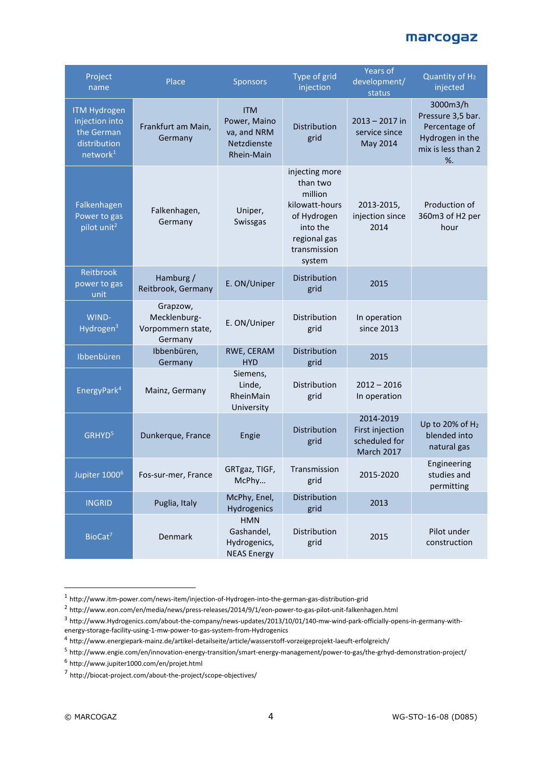| Project<br>name                                                                             | Place                                                    | <b>Sponsors</b>                                                        | Type of grid<br>injection                                                                                                    | <b>Years of</b><br>development/<br>status                          | Quantity of H <sub>2</sub><br>injected                                                            |
|---------------------------------------------------------------------------------------------|----------------------------------------------------------|------------------------------------------------------------------------|------------------------------------------------------------------------------------------------------------------------------|--------------------------------------------------------------------|---------------------------------------------------------------------------------------------------|
| <b>ITM Hydrogen</b><br>injection into<br>the German<br>distribution<br>network <sup>1</sup> | Frankfurt am Main,<br>Germany                            | <b>ITM</b><br>Power, Maino<br>va, and NRM<br>Netzdienste<br>Rhein-Main | Distribution<br>grid                                                                                                         | $2013 - 2017$ in<br>service since<br>May 2014                      | 3000m3/h<br>Pressure 3,5 bar.<br>Percentage of<br>Hydrogen in the<br>mix is less than 2<br>$\%$ . |
| Falkenhagen<br>Power to gas<br>pilot unit <sup>2</sup>                                      | Falkenhagen,<br>Germany                                  | Uniper,<br>Swissgas                                                    | injecting more<br>than two<br>million<br>kilowatt-hours<br>of Hydrogen<br>into the<br>regional gas<br>transmission<br>system | 2013-2015,<br>injection since<br>2014                              | Production of<br>360m3 of H2 per<br>hour                                                          |
| Reitbrook<br>power to gas<br>unit                                                           | Hamburg /<br>Reitbrook, Germany                          | E. ON/Uniper                                                           | Distribution<br>grid                                                                                                         | 2015                                                               |                                                                                                   |
| WIND-<br>Hydrogen <sup>3</sup>                                                              | Grapzow,<br>Mecklenburg-<br>Vorpommern state,<br>Germany | E. ON/Uniper                                                           | Distribution<br>grid                                                                                                         | In operation<br>since 2013                                         |                                                                                                   |
| Ibbenbüren                                                                                  | Ibbenbüren,<br>Germany                                   | RWE, CERAM<br><b>HYD</b>                                               | Distribution<br>grid                                                                                                         | 2015                                                               |                                                                                                   |
| EnergyPark <sup>4</sup>                                                                     | Mainz, Germany                                           | Siemens,<br>Linde,<br>RheinMain<br>University                          | Distribution<br>grid                                                                                                         | $2012 - 2016$<br>In operation                                      |                                                                                                   |
| GRHYD <sup>5</sup>                                                                          | Dunkerque, France                                        | Engie                                                                  | Distribution<br>grid                                                                                                         | 2014-2019<br>First injection<br>scheduled for<br><b>March 2017</b> | Up to 20% of H <sub>2</sub><br>blended into<br>natural gas                                        |
| Jupiter 1000 <sup>6</sup>                                                                   | Fos-sur-mer, France                                      | GRTgaz, TIGF,<br>McPhy                                                 | Transmission<br>grid                                                                                                         | 2015-2020                                                          | Engineering<br>studies and<br>permitting                                                          |
| <b>INGRID</b>                                                                               | Puglia, Italy                                            | McPhy, Enel,<br>Hydrogenics                                            | Distribution<br>grid                                                                                                         | 2013                                                               |                                                                                                   |
| BioCat <sup>7</sup>                                                                         | Denmark                                                  | <b>HMN</b><br>Gashandel,<br>Hydrogenics,<br><b>NEAS Energy</b>         | Distribution<br>grid                                                                                                         | 2015                                                               | Pilot under<br>construction                                                                       |

 1 http://www.itm-power.com/news-item/injection-of-Hydrogen-into-the-german-gas-distribution-grid

<sup>&</sup>lt;sup>2</sup> <http://www.eon.com/en/media/news/press-releases/2014/9/1/eon-power-to-gas-pilot-unit-falkenhagen.html>

<sup>3</sup> http://www.Hydrogenics.com/about-the-company/news-updates/2013/10/01/140-mw-wind-park-officially-opens-in-germany-withenergy-storage-facility-using-1-mw-power-to-gas-system-from-Hydrogenics

<sup>&</sup>lt;sup>4</sup> <http://www.energiepark-mainz.de/artikel-detailseite/article/wasserstoff-vorzeigeprojekt-laeuft-erfolgreich/>

<sup>&</sup>lt;sup>5</sup> http://www.engie.com/en/innovation-energy-transition/smart-energy-management/power-to-gas/the-grhyd-demonstration-project/

<sup>6</sup> http://www.jupiter1000.com/en/projet.html

<sup>&</sup>lt;sup>7</sup> http://biocat-project.com/about-the-project/scope-objectives/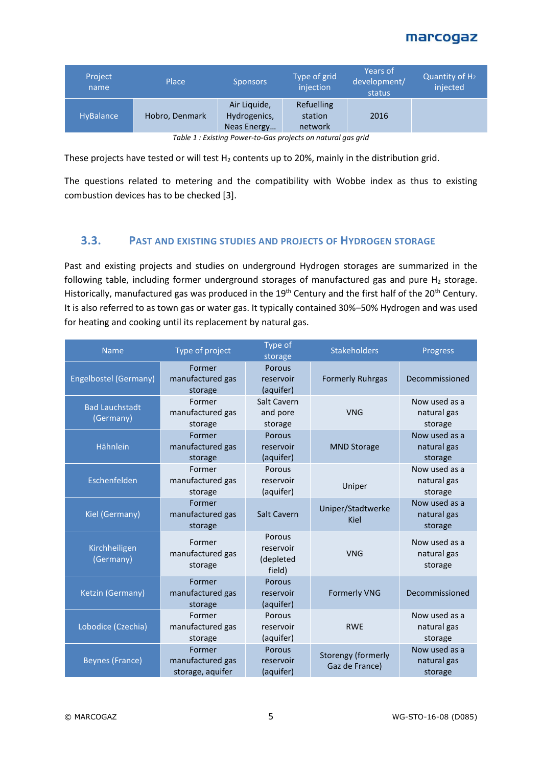| Project<br>name  | <b>Place</b>   | <b>Sponsors</b>                             | Type of grid<br>injection        | Years of<br>development/<br>status | Quantity of $H_2$<br>injected |
|------------------|----------------|---------------------------------------------|----------------------------------|------------------------------------|-------------------------------|
| HyBalance        | Hobro, Denmark | Air Liquide,<br>Hydrogenics,<br>Neas Energy | Refuelling<br>station<br>network | 2016                               |                               |
| _ _ _ _<br>$  -$ |                |                                             |                                  |                                    |                               |

*Table 1 : Existing Power-to-Gas projects on natural gas grid*

These projects have tested or will test  $H_2$  contents up to 20%, mainly in the distribution grid.

The questions related to metering and the compatibility with Wobbe index as thus to existing combustion devices has to be checke[d \[3\].](#page-11-2)

#### **3.3. PAST AND EXISTING STUDIES AND PROJECTS OF HYDROGEN STORAGE**

Past and existing projects and studies on underground Hydrogen storages are summarized in the following table, including former underground storages of manufactured gas and pure  $H_2$  storage. Historically, manufactured gas was produced in the 19<sup>th</sup> Century and the first half of the 20<sup>th</sup> Century. It is also referred to as town gas or water gas. It typically contained 30%–50% Hydrogen and was used for heating and cooking until its replacement by natural gas.

| <b>Name</b>                        | Type of project                                | Type of<br>storage                         | <b>Stakeholders</b>                  | Progress                                |
|------------------------------------|------------------------------------------------|--------------------------------------------|--------------------------------------|-----------------------------------------|
| Engelbostel (Germany)              | Former<br>manufactured gas<br>storage          | Porous<br>reservoir<br>(aquifer)           | <b>Formerly Ruhrgas</b>              | Decommissioned                          |
| <b>Bad Lauchstadt</b><br>(Germany) | Former<br>manufactured gas<br>storage          | Salt Cavern<br>and pore<br>storage         | <b>VNG</b>                           | Now used as a<br>natural gas<br>storage |
| Hähnlein                           | Former<br>manufactured gas<br>storage          | Porous<br>reservoir<br>(aquifer)           | <b>MND Storage</b>                   | Now used as a<br>natural gas<br>storage |
| Eschenfelden                       | Former<br>manufactured gas<br>storage          | Porous<br>reservoir<br>(aquifer)           | Uniper                               | Now used as a<br>natural gas<br>storage |
| Kiel (Germany)                     | Former<br>manufactured gas<br>storage          | <b>Salt Cavern</b>                         | Uniper/Stadtwerke<br>Kiel            | Now used as a<br>natural gas<br>storage |
| Kirchheiligen<br>(Germany)         | Former<br>manufactured gas<br>storage          | Porous<br>reservoir<br>(depleted<br>field) | <b>VNG</b>                           | Now used as a<br>natural gas<br>storage |
| Ketzin (Germany)                   | Former<br>manufactured gas<br>storage          | Porous<br>reservoir<br>(aquifer)           | <b>Formerly VNG</b>                  | Decommissioned                          |
| Lobodice (Czechia)                 | Former<br>manufactured gas<br>storage          | Porous<br>reservoir<br>(aquifer)           | <b>RWE</b>                           | Now used as a<br>natural gas<br>storage |
| <b>Beynes (France)</b>             | Former<br>manufactured gas<br>storage, aquifer | Porous<br>reservoir<br>(aquifer)           | Storengy (formerly<br>Gaz de France) | Now used as a<br>natural gas<br>storage |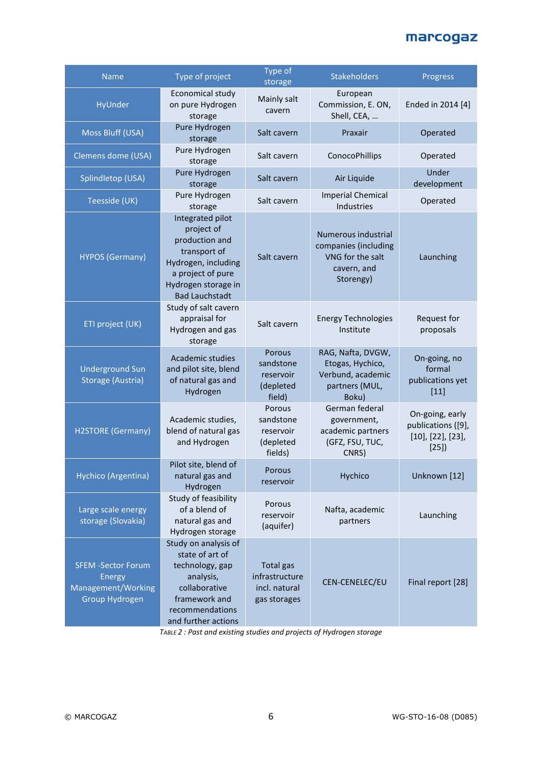| <b>Name</b>                                                                        | Type of project                                                                                                                                              | Type of<br>storage                                                  | <b>Stakeholders</b>                                                                         | Progress                                                                    |
|------------------------------------------------------------------------------------|--------------------------------------------------------------------------------------------------------------------------------------------------------------|---------------------------------------------------------------------|---------------------------------------------------------------------------------------------|-----------------------------------------------------------------------------|
| HyUnder                                                                            | Economical study<br>on pure Hydrogen<br>storage                                                                                                              | Mainly salt<br>cavern                                               | European<br>Commission, E. ON,<br>Shell, CEA,                                               | Ended in 2014 [4]                                                           |
| Moss Bluff (USA)                                                                   | Pure Hydrogen<br>storage                                                                                                                                     | Salt cavern                                                         | Praxair                                                                                     | Operated                                                                    |
| Clemens dome (USA)                                                                 | Pure Hydrogen<br>storage                                                                                                                                     | Salt cavern                                                         | ConocoPhillips                                                                              | Operated                                                                    |
| Splindletop (USA)                                                                  | Pure Hydrogen<br>storage                                                                                                                                     | Salt cavern                                                         | Air Liquide                                                                                 | Under<br>development                                                        |
| Teesside (UK)                                                                      | Pure Hydrogen<br>storage                                                                                                                                     | Salt cavern                                                         | <b>Imperial Chemical</b><br>Industries                                                      | Operated                                                                    |
| <b>HYPOS (Germany)</b>                                                             | Integrated pilot<br>project of<br>production and<br>transport of<br>Hydrogen, including<br>a project of pure<br>Hydrogen storage in<br><b>Bad Lauchstadt</b> | Salt cavern                                                         | Numerous industrial<br>companies (including<br>VNG for the salt<br>cavern, and<br>Storengy) | Launching                                                                   |
| ETI project (UK)                                                                   | Study of salt cavern<br>appraisal for<br>Hydrogen and gas<br>storage                                                                                         | Salt cavern                                                         | <b>Energy Technologies</b><br>Institute                                                     | Request for<br>proposals                                                    |
| <b>Underground Sun</b><br>Storage (Austria)                                        | Academic studies<br>and pilot site, blend<br>of natural gas and<br>Hydrogen                                                                                  | Porous<br>sandstone<br>reservoir<br>(depleted<br>field)             | RAG, Nafta, DVGW,<br>Etogas, Hychico,<br>Verbund, academic<br>partners (MUL,<br>Boku)       | On-going, no<br>formal<br>publications yet<br>$[11]$                        |
| <b>H2STORE (Germany)</b>                                                           | Academic studies,<br>blend of natural gas<br>and Hydrogen                                                                                                    | Porous<br>sandstone<br>reservoir<br>(depleted<br>fields)            | German federal<br>government,<br>academic partners<br>(GFZ, FSU, TUC,<br>CNRS)              | On-going, early<br>publications ([9],<br>$[10]$ , $[22]$ , $[23]$ ,<br>[25] |
| Hychico (Argentina)                                                                | Pilot site, blend of<br>natural gas and<br>Hydrogen                                                                                                          | Porous<br>reservoir                                                 | Hychico                                                                                     | Unknown [12]                                                                |
| Large scale energy<br>storage (Slovakia)                                           | Study of feasibility<br>of a blend of<br>natural gas and<br>Hydrogen storage                                                                                 | Porous<br>reservoir<br>(aquifer)                                    | Nafta, academic<br>partners                                                                 | Launching                                                                   |
| <b>SFEM -Sector Forum</b><br><b>Energy</b><br>Management/Working<br>Group Hydrogen | Study on analysis of<br>state of art of<br>technology, gap<br>analysis,<br>collaborative<br>framework and<br>recommendations<br>and further actions          | <b>Total gas</b><br>infrastructure<br>incl. natural<br>gas storages | CEN-CENELEC/EU                                                                              | Final report [28]                                                           |

*TABLE 2 : Past and existing studies and projects of Hydrogen storage*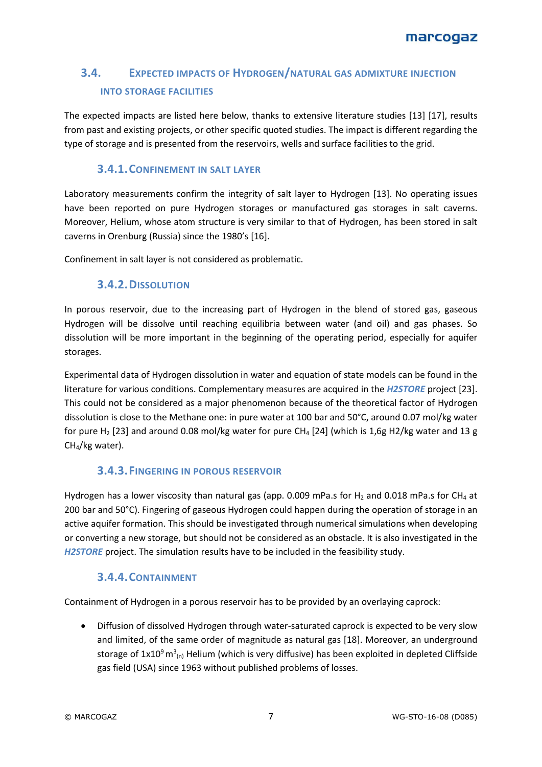# **3.4. EXPECTED IMPACTS OF HYDROGEN/NATURAL GAS ADMIXTURE INJECTION INTO STORAGE FACILITIES**

The expected impacts are listed here below, thanks to extensive literature studies [\[13\]](#page-11-10) [\[17\],](#page-11-11) results from past and existing projects, or other specific quoted studies. The impact is different regarding the type of storage and is presented from the reservoirs, wells and surface facilities to the grid.

### **3.4.1.CONFINEMENT IN SALT LAYER**

Laboratory measurements confirm the integrity of salt layer to Hydrogen [\[13\].](#page-11-10) No operating issues have been reported on pure Hydrogen storages or manufactured gas storages in salt caverns. Moreover, Helium, whose atom structure is very similar to that of Hydrogen, has been stored in salt caverns in Orenburg (Russia) since the 1980's [\[16\].](#page-11-12)

Confinement in salt layer is not considered as problematic.

### **3.4.2.DISSOLUTION**

In porous reservoir, due to the increasing part of Hydrogen in the blend of stored gas, gaseous Hydrogen will be dissolve until reaching equilibria between water (and oil) and gas phases. So dissolution will be more important in the beginning of the operating period, especially for aquifer storages.

Experimental data of Hydrogen dissolution in water and equation of state models can be found in the literature for various conditions. Complementary measures are acquired in the *H2STORE* project [\[23\].](#page-12-1) This could not be considered as a major phenomenon because of the theoretical factor of Hydrogen dissolution is close to the Methane one: in pure water at 100 bar and 50°C, around 0.07 mol/kg water for pure H<sub>2</sub> [23] and around 0.08 mol/kg water for pure CH<sub>4</sub> [\[24\]](#page-12-4) (which is 1,6g H2/kg water and 13 g CH4/kg water).

### **3.4.3.FINGERING IN POROUS RESERVOIR**

Hydrogen has a lower viscosity than natural gas (app. 0.009 mPa.s for H<sub>2</sub> and 0.018 mPa.s for CH<sub>4</sub> at 200 bar and 50°C). Fingering of gaseous Hydrogen could happen during the operation of storage in an active aquifer formation. This should be investigated through numerical simulations when developing or converting a new storage, but should not be considered as an obstacle. It is also investigated in the *H2STORE* project. The simulation results have to be included in the feasibility study.

#### **3.4.4.CONTAINMENT**

Containment of Hydrogen in a porous reservoir has to be provided by an overlaying caprock:

• Diffusion of dissolved Hydrogen through water-saturated caprock is expected to be very slow and limited, of the same order of magnitude as natural gas [\[18\].](#page-11-13) Moreover, an underground storage of 1x10<sup>9</sup> m<sup>3</sup><sub>(n)</sub> Helium (which is very diffusive) has been exploited in depleted Cliffside gas field (USA) since 1963 without published problems of losses.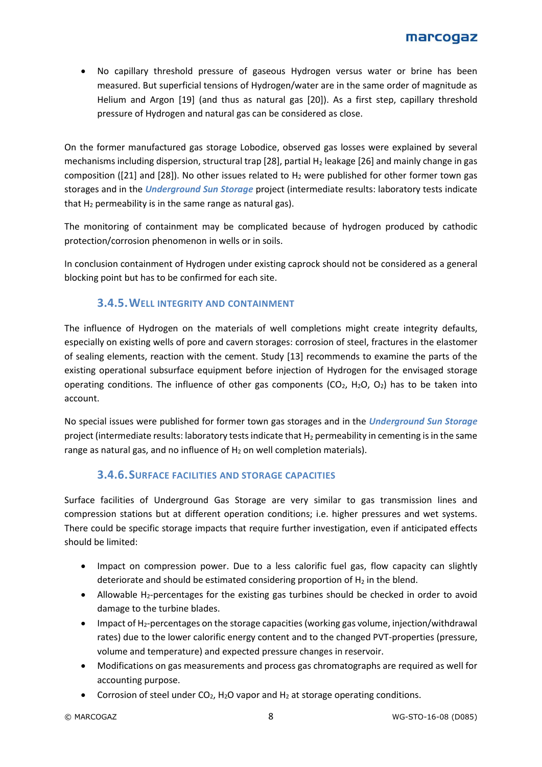• No capillary threshold pressure of gaseous Hydrogen versus water or brine has been measured. But superficial tensions of Hydrogen/water are in the same order of magnitude as Helium and Argon [\[19\]](#page-11-14) (and thus as natural gas [\[20\]\)](#page-12-5). As a first step, capillary threshold pressure of Hydrogen and natural gas can be considered as close.

On the former manufactured gas storage Lobodice, observed gas losses were explained by several mechanisms including dispersion, structural trap [28], partial H<sub>2</sub> leakage [26] and mainly change in gas composition ([21] and [28]). No other issues related to  $H_2$  were published for other former town gas storages and in the *Underground Sun Storage* project (intermediate results: laboratory tests indicate that  $H_2$  permeability is in the same range as natural gas).

The monitoring of containment may be complicated because of hydrogen produced by cathodic protection/corrosion phenomenon in wells or in soils.

In conclusion containment of Hydrogen under existing caprock should not be considered as a general blocking point but has to be confirmed for each site.

## **3.4.5.WELL INTEGRITY AND CONTAINMENT**

The influence of Hydrogen on the materials of well completions might create integrity defaults, especially on existing wells of pore and cavern storages: corrosion of steel, fractures in the elastomer of sealing elements, reaction with the cement. Study [\[13\]](#page-11-10) recommends to examine the parts of the existing operational subsurface equipment before injection of Hydrogen for the envisaged storage operating conditions. The influence of other gas components (CO<sub>2</sub>, H<sub>2</sub>O, O<sub>2</sub>) has to be taken into account.

No special issues were published for former town gas storages and in the *Underground Sun Storage* project (intermediate results: laboratory tests indicate that  $H_2$  permeability in cementing is in the same range as natural gas, and no influence of  $H_2$  on well completion materials).

### **3.4.6.SURFACE FACILITIES AND STORAGE CAPACITIES**

Surface facilities of Underground Gas Storage are very similar to gas transmission lines and compression stations but at different operation conditions; i.e. higher pressures and wet systems. There could be specific storage impacts that require further investigation, even if anticipated effects should be limited:

- Impact on compression power. Due to a less calorific fuel gas, flow capacity can slightly deteriorate and should be estimated considering proportion of  $H_2$  in the blend.
- Allowable H<sub>2</sub>-percentages for the existing gas turbines should be checked in order to avoid damage to the turbine blades.
- Impact of  $H_2$ -percentages on the storage capacities (working gas volume, injection/withdrawal rates) due to the lower calorific energy content and to the changed PVT-properties (pressure, volume and temperature) and expected pressure changes in reservoir.
- Modifications on gas measurements and process gas chromatographs are required as well for accounting purpose.
- Corrosion of steel under  $CO<sub>2</sub>$ , H<sub>2</sub>O vapor and H<sub>2</sub> at storage operating conditions.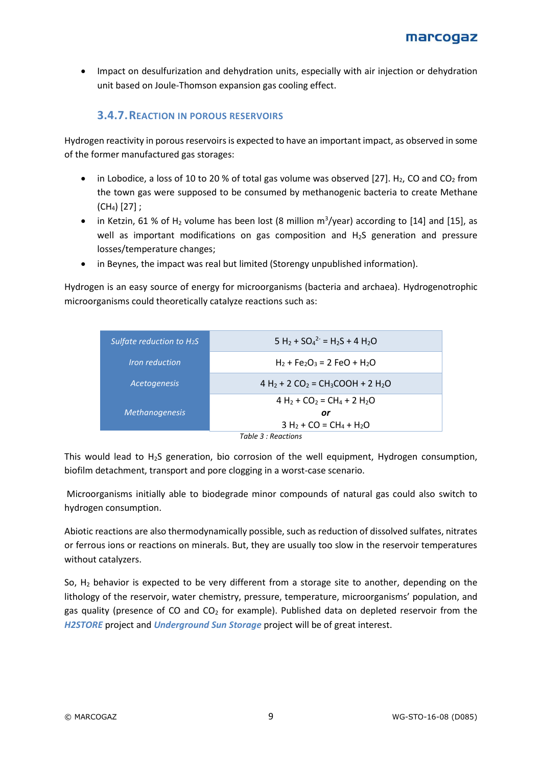• Impact on desulfurization and dehydration units, especially with air injection or dehydration unit based on Joule-Thomson expansion gas cooling effect.

## **3.4.7.REACTION IN POROUS RESERVOIRS**

Hydrogen reactivity in porous reservoirsis expected to have an important impact, as observed in some of the former manufactured gas storages:

- in Lobodice, a loss of 10 to 20 % of total gas volume was observed [\[27\].](#page-12-6) H<sub>2</sub>, CO and CO<sub>2</sub> from the town gas were supposed to be consumed by methanogenic bacteria to create Methane  $(CH_4)$  [\[27\]](#page-12-7) ;
- in Ketzin, 61 % of H<sub>2</sub> volume has been lost (8 million  $m^3$ /year) according to [\[14\]](#page-11-15) and [\[15\],](#page-11-16) as well as important modifications on gas composition and  $H_2S$  generation and pressure losses/temperature changes;
- in Beynes, the impact was real but limited (Storengy unpublished information).

Hydrogen is an easy source of energy for microorganisms (bacteria and archaea). Hydrogenotrophic microorganisms could theoretically catalyze reactions such as:

| Sulfate reduction to $H_2S$         | $5 H_2 + SO_4^2 = H_2S + 4 H_2O$                                          |  |  |
|-------------------------------------|---------------------------------------------------------------------------|--|--|
| <i><u><b>Iron reduction</b></u></i> | $H_2 + Fe_2O_3 = 2 FeO + H_2O$                                            |  |  |
| <b>Acetogenesis</b>                 | $4 H_2 + 2 CO_2 = CH_3COOH + 2 H_2O$                                      |  |  |
|                                     | 4 H <sub>2</sub> + CO <sub>2</sub> = CH <sub>4</sub> + 2 H <sub>2</sub> O |  |  |
| <b>Methanogenesis</b>               | or                                                                        |  |  |
|                                     | $3 H_2 + CO = CH_4 + H_2O$                                                |  |  |
| Table 3 : Reactions                 |                                                                           |  |  |

This would lead to H2S generation, bio corrosion of the well equipment, Hydrogen consumption, biofilm detachment, transport and pore clogging in a worst-case scenario.

Microorganisms initially able to biodegrade minor compounds of natural gas could also switch to hydrogen consumption.

Abiotic reactions are also thermodynamically possible, such as reduction of dissolved sulfates, nitrates or ferrous ions or reactions on minerals. But, they are usually too slow in the reservoir temperatures without catalyzers.

So,  $H_2$  behavior is expected to be very different from a storage site to another, depending on the lithology of the reservoir, water chemistry, pressure, temperature, microorganisms' population, and gas quality (presence of CO and  $CO<sub>2</sub>$  for example). Published data on depleted reservoir from the *H2STORE* project and *Underground Sun Storage* project will be of great interest.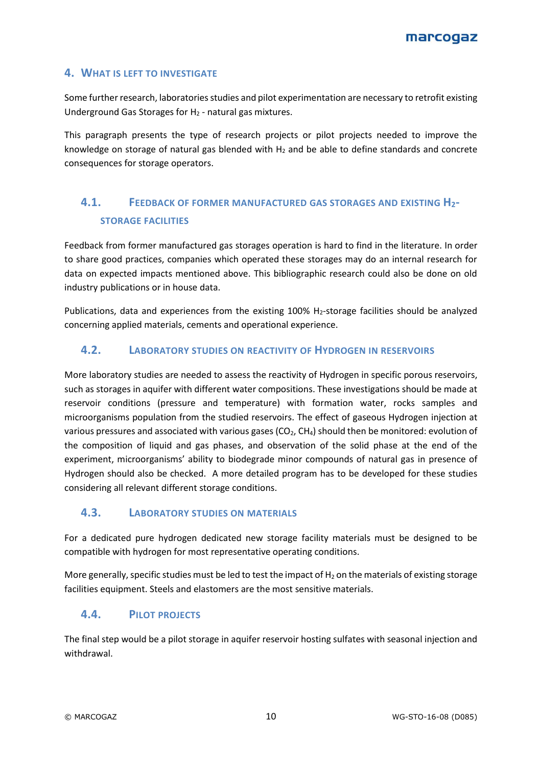#### **4. WHAT IS LEFT TO INVESTIGATE**

Some further research, laboratories studies and pilot experimentation are necessary to retrofit existing Underground Gas Storages for  $H_2$  - natural gas mixtures.

This paragraph presents the type of research projects or pilot projects needed to improve the knowledge on storage of natural gas blended with  $H_2$  and be able to define standards and concrete consequences for storage operators.

# **4.1. FEEDBACK OF FORMER MANUFACTURED GAS STORAGES AND EXISTING H2- STORAGE FACILITIES**

Feedback from former manufactured gas storages operation is hard to find in the literature. In order to share good practices, companies which operated these storages may do an internal research for data on expected impacts mentioned above. This bibliographic research could also be done on old industry publications or in house data.

Publications, data and experiences from the existing 100% H<sub>2</sub>-storage facilities should be analyzed concerning applied materials, cements and operational experience.

#### **4.2. LABORATORY STUDIES ON REACTIVITY OF HYDROGEN IN RESERVOIRS**

More laboratory studies are needed to assess the reactivity of Hydrogen in specific porous reservoirs, such as storages in aquifer with different water compositions. These investigations should be made at reservoir conditions (pressure and temperature) with formation water, rocks samples and microorganisms population from the studied reservoirs. The effect of gaseous Hydrogen injection at various pressures and associated with various gases ( $CO<sub>2</sub>$ ,  $CH<sub>4</sub>$ ) should then be monitored: evolution of the composition of liquid and gas phases, and observation of the solid phase at the end of the experiment, microorganisms' ability to biodegrade minor compounds of natural gas in presence of Hydrogen should also be checked. A more detailed program has to be developed for these studies considering all relevant different storage conditions.

### **4.3. LABORATORY STUDIES ON MATERIALS**

For a dedicated pure hydrogen dedicated new storage facility materials must be designed to be compatible with hydrogen for most representative operating conditions.

More generally, specific studies must be led to test the impact of  $H_2$  on the materials of existing storage facilities equipment. Steels and elastomers are the most sensitive materials.

### **4.4. PILOT PROJECTS**

The final step would be a pilot storage in aquifer reservoir hosting sulfates with seasonal injection and withdrawal.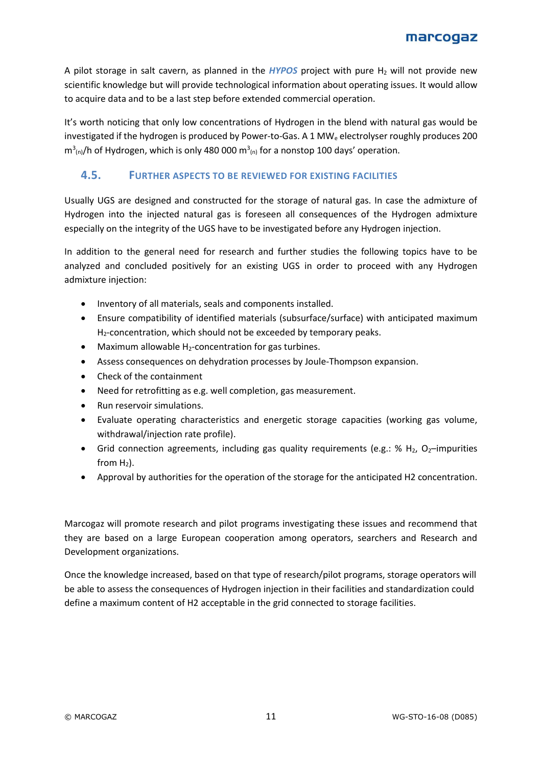A pilot storage in salt cavern, as planned in the *HYPOS* project with pure H<sub>2</sub> will not provide new scientific knowledge but will provide technological information about operating issues. It would allow to acquire data and to be a last step before extended commercial operation.

It's worth noticing that only low concentrations of Hydrogen in the blend with natural gas would be investigated if the hydrogen is produced by Power-to-Gas. A 1 MW<sub>e</sub> electrolyser roughly produces 200  $m<sup>3</sup>_{(n)}$ /h of Hydrogen, which is only 480 000  $m<sup>3</sup>_{(n)}$  for a nonstop 100 days' operation.

## **4.5. FURTHER ASPECTS TO BE REVIEWED FOR EXISTING FACILITIES**

Usually UGS are designed and constructed for the storage of natural gas. In case the admixture of Hydrogen into the injected natural gas is foreseen all consequences of the Hydrogen admixture especially on the integrity of the UGS have to be investigated before any Hydrogen injection.

In addition to the general need for research and further studies the following topics have to be analyzed and concluded positively for an existing UGS in order to proceed with any Hydrogen admixture injection:

- Inventory of all materials, seals and components installed.
- Ensure compatibility of identified materials (subsurface/surface) with anticipated maximum H2-concentration, which should not be exceeded by temporary peaks.
- Maximum allowable  $H_2$ -concentration for gas turbines.
- Assess consequences on dehydration processes by Joule-Thompson expansion.
- Check of the containment
- Need for retrofitting as e.g. well completion, gas measurement.
- Run reservoir simulations.
- Evaluate operating characteristics and energetic storage capacities (working gas volume, withdrawal/injection rate profile).
- Grid connection agreements, including gas quality requirements (e.g.: %  $H_2$ , O<sub>2</sub>–impurities from  $H_2$ ).
- Approval by authorities for the operation of the storage for the anticipated H2 concentration.

Marcogaz will promote research and pilot programs investigating these issues and recommend that they are based on a large European cooperation among operators, searchers and Research and Development organizations.

Once the knowledge increased, based on that type of research/pilot programs, storage operators will be able to assess the consequences of Hydrogen injection in their facilities and standardization could define a maximum content of H2 acceptable in the grid connected to storage facilities.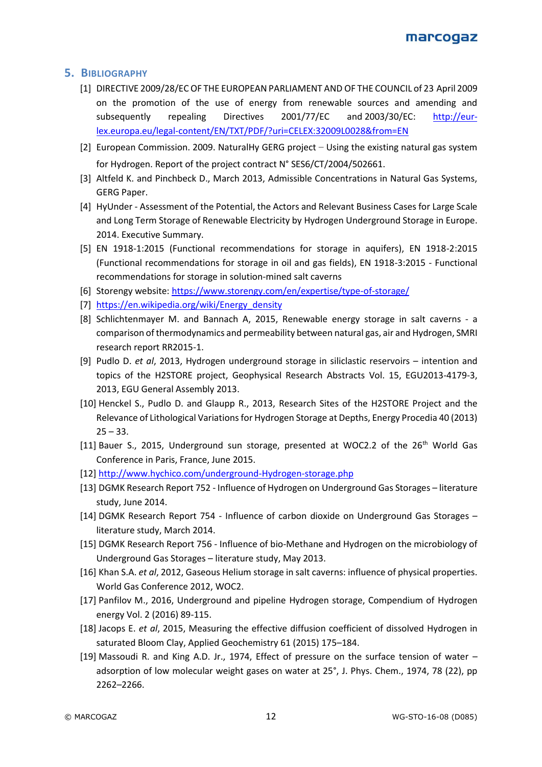#### <span id="page-11-0"></span>**5. BIBLIOGRAPHY**

- [1] DIRECTIVE 2009/28/EC OF THE EUROPEAN PARLIAMENT AND OF THE COUNCIL of 23 April 2009 on the promotion of the use of energy from renewable sources and amending and subsequently repealing Directives 2001/77/EC and 2003/30/EC: [http://eur](http://eur-lex.europa.eu/legal-content/EN/TXT/PDF/?uri=CELEX:32009L0028&from=EN)[lex.europa.eu/legal-content/EN/TXT/PDF/?uri=CELEX:32009L0028&from=EN](http://eur-lex.europa.eu/legal-content/EN/TXT/PDF/?uri=CELEX:32009L0028&from=EN)
- <span id="page-11-1"></span>[2] European Commission. 2009. NaturalHy GERG project – Using the existing natural gas system for Hydrogen. Report of the project contract N° SES6/CT/2004/502661.
- <span id="page-11-2"></span>[3] Altfeld K. and Pinchbeck D., March 2013, Admissible Concentrations in Natural Gas Systems, GERG Paper.
- <span id="page-11-3"></span>[4] HyUnder - Assessment of the Potential, the Actors and Relevant Business Cases for Large Scale and Long Term Storage of Renewable Electricity by Hydrogen Underground Storage in Europe. 2014. Executive Summary.
- <span id="page-11-4"></span>[5] EN 1918-1:2015 (Functional recommendations for storage in aquifers), EN 1918-2:2015 (Functional recommendations for storage in oil and gas fields), EN 1918-3:2015 - Functional recommendations for storage in solution-mined salt caverns
- <span id="page-11-5"></span>[6] Storengy website: <https://www.storengy.com/en/expertise/type-of-storage/>
- [7] [https://en.wikipedia.org/wiki/Energy\\_density](https://en.wikipedia.org/wiki/Energy_density)
- [8] Schlichtenmayer M. and Bannach A, 2015, Renewable energy storage in salt caverns a comparison of thermodynamics and permeability between natural gas, air and Hydrogen, SMRI research report RR2015-1.
- <span id="page-11-7"></span>[9] Pudlo D. *et al*, 2013, Hydrogen underground storage in siliclastic reservoirs – intention and topics of the H2STORE project, Geophysical Research Abstracts Vol. 15, EGU2013-4179-3, 2013, EGU General Assembly 2013.
- <span id="page-11-8"></span>[10] Henckel S., Pudlo D. and Glaupp R., 2013, Research Sites of the H2STORE Project and the Relevance of Lithological Variations for Hydrogen Storage at Depths, Energy Procedia 40 (2013)  $25 - 33.$
- <span id="page-11-6"></span>[11] Bauer S., 2015, Underground sun storage, presented at WOC2.2 of the  $26<sup>th</sup>$  World Gas Conference in Paris, France, June 2015.
- <span id="page-11-9"></span>[12] [http://www.hychico.com/underground-Hydrogen-storage.php](http://www.hychico.com/underground-hydrogen-storage.php)
- <span id="page-11-10"></span>[13] DGMK Research Report 752 - Influence of Hydrogen on Underground Gas Storages – literature study, June 2014.
- <span id="page-11-15"></span>[14] DGMK Research Report 754 - Influence of carbon dioxide on Underground Gas Storages – literature study, March 2014.
- <span id="page-11-16"></span>[15] DGMK Research Report 756 - Influence of bio-Methane and Hydrogen on the microbiology of Underground Gas Storages – literature study, May 2013.
- <span id="page-11-12"></span>[16] Khan S.A. *et al*, 2012, Gaseous Helium storage in salt caverns: influence of physical properties. World Gas Conference 2012, WOC2.
- <span id="page-11-11"></span>[17] Panfilov M., 2016, Underground and pipeline Hydrogen storage, Compendium of Hydrogen energy Vol. 2 (2016) 89-115.
- <span id="page-11-13"></span>[18] Jacops E. *et al*, 2015, Measuring the effective diffusion coefficient of dissolved Hydrogen in saturated Bloom Clay, Applied Geochemistry 61 (2015) 175–184.
- <span id="page-11-14"></span>[19] Massoudi R. and King A.D. Jr., 1974, Effect of pressure on the surface tension of water – adsorption of low molecular weight gases on water at 25°, J. Phys. Chem., 1974, 78 (22), pp 2262–2266.